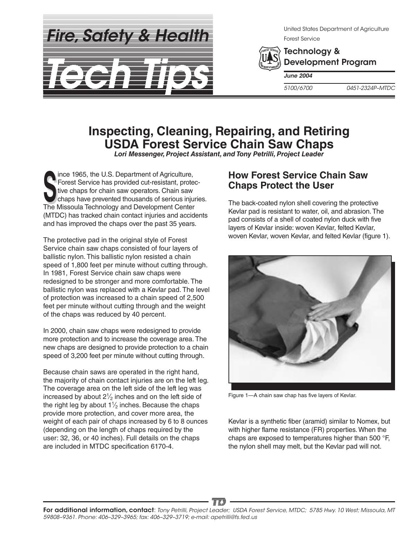*Fire, Safety & Health*



United States Department of Agriculture Forest Service



Technology & Development Program

*June 2004*

*5100/6700 0451-2324P–MTDC*

# **Inspecting, Cleaning, Repairing, and Retiring USDA Forest Service Chain Saw Chaps**

*Lori Messenger, Project Assistant, and Tony Petrilli, Project Leader*

The Missoula Technology and Development Center<br>
The Missoula Technology and Development Center ince 1965, the U.S. Department of Agriculture, Forest Service has provided cut-resistant, protective chaps for chain saw operators. Chain saw chaps have prevented thousands of serious injuries. (MTDC) has tracked chain contact injuries and accidents and has improved the chaps over the past 35 years.

The protective pad in the original style of Forest Service chain saw chaps consisted of four layers of ballistic nylon. This ballistic nylon resisted a chain speed of 1,800 feet per minute without cutting through. In 1981, Forest Service chain saw chaps were redesigned to be stronger and more comfortable. The ballistic nylon was replaced with a Kevlar pad. The level of protection was increased to a chain speed of 2,500 feet per minute without cutting through and the weight of the chaps was reduced by 40 percent.

In 2000, chain saw chaps were redesigned to provide more protection and to increase the coverage area. The new chaps are designed to provide protection to a chain speed of 3,200 feet per minute without cutting through.

Because chain saws are operated in the right hand, the majority of chain contact injuries are on the left leg. The coverage area on the left side of the left leg was increased by about  $2\frac{1}{2}$  inches and on the left side of the right leg by about  $1\frac{1}{2}$  inches. Because the chaps provide more protection, and cover more area, the weight of each pair of chaps increased by 6 to 8 ounces (depending on the length of chaps required by the user: 32, 36, or 40 inches). Full details on the chaps are included in MTDC specification 6170-4.

#### **How Forest Service Chain Saw Chaps Protect the User**

The back-coated nylon shell covering the protective Kevlar pad is resistant to water, oil, and abrasion. The pad consists of a shell of coated nylon duck with five layers of Kevlar inside: woven Kevlar, felted Kevlar, woven Kevlar, woven Kevlar, and felted Kevlar (figure 1).



Figure 1—A chain saw chap has five layers of Kevlar.

Kevlar is a synthetic fiber (aramid) similar to Nomex, but with higher flame resistance (FR) properties. When the chaps are exposed to temperatures higher than 500 °F, the nylon shell may melt, but the Kevlar pad will not.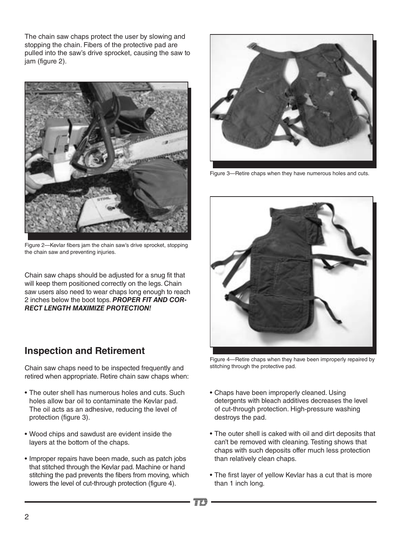The chain saw chaps protect the user by slowing and stopping the chain. Fibers of the protective pad are pulled into the saw's drive sprocket, causing the saw to jam (figure 2).



Figure 2—Kevlar fibers jam the chain saw's drive sprocket, stopping the chain saw and preventing injuries.

Chain saw chaps should be adjusted for a snug fit that will keep them positioned correctly on the legs. Chain saw users also need to wear chaps long enough to reach 2 inches below the boot tops. *PROPER FIT AND COR-RECT LENGTH MAXIMIZE PROTECTION!*

## **Inspection and Retirement**

Chain saw chaps need to be inspected frequently and retired when appropriate. Retire chain saw chaps when:

- The outer shell has numerous holes and cuts. Such holes allow bar oil to contaminate the Kevlar pad. The oil acts as an adhesive, reducing the level of protection (figure 3).
- • Wood chips and sawdust are evident inside the layers at the bottom of the chaps.
- Improper repairs have been made, such as patch jobs that stitched through the Kevlar pad. Machine or hand stitching the pad prevents the fibers from moving, which lowers the level of cut-through protection (figure 4).



Figure 3—Retire chaps when they have numerous holes and cuts.



Figure 4—Retire chaps when they have been improperly repaired by stitching through the protective pad.

- Chaps have been improperly cleaned. Using detergents with bleach additives decreases the level of cut-through protection. High-pressure washing destroys the pad.
- The outer shell is caked with oil and dirt deposits that can't be removed with cleaning. Testing shows that chaps with such deposits offer much less protection than relatively clean chaps.
- The first layer of yellow Kevlar has a cut that is more than 1 inch long.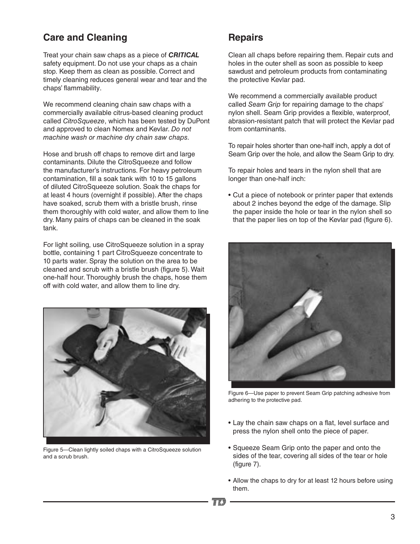## **Care and Cleaning**

Treat your chain saw chaps as a piece of *CRITICAL* safety equipment. Do not use your chaps as a chain stop. Keep them as clean as possible. Correct and timely cleaning reduces general wear and tear and the chaps' flammability.

We recommend cleaning chain saw chaps with a commercially available citrus-based cleaning product called *CitroSqueeze*, which has been tested by DuPont and approved to clean Nomex and Kevlar. *Do not machine wash or machine dry chain saw chaps.*

Hose and brush off chaps to remove dirt and large contaminants. Dilute the CitroSqueeze and follow the manufacturer's instructions. For heavy petroleum contamination, fill a soak tank with 10 to 15 gallons of diluted CitroSqueeze solution. Soak the chaps for at least 4 hours (overnight if possible). After the chaps have soaked, scrub them with a bristle brush, rinse them thoroughly with cold water, and allow them to line dry. Many pairs of chaps can be cleaned in the soak tank.

For light soiling, use CitroSqueeze solution in a spray bottle, containing 1 part CitroSqueeze concentrate to 10 parts water. Spray the solution on the area to be cleaned and scrub with a bristle brush (figure 5). Wait one-half hour. Thoroughly brush the chaps, hose them off with cold water, and allow them to line dry.



Figure 5—Clean lightly soiled chaps with a CitroSqueeze solution and a scrub brush.

#### **Repairs**

Clean all chaps before repairing them. Repair cuts and holes in the outer shell as soon as possible to keep sawdust and petroleum products from contaminating the protective Kevlar pad.

We recommend a commercially available product called *Seam Grip* for repairing damage to the chaps' nylon shell. Seam Grip provides a flexible, waterproof, abrasion-resistant patch that will protect the Kevlar pad from contaminants.

To repair holes shorter than one-half inch, apply a dot of Seam Grip over the hole, and allow the Seam Grip to dry.

To repair holes and tears in the nylon shell that are longer than one-half inch:

• Cut a piece of notebook or printer paper that extends about 2 inches beyond the edge of the damage. Slip the paper inside the hole or tear in the nylon shell so that the paper lies on top of the Kevlar pad (figure 6).



Figure 6—Use paper to prevent Seam Grip patching adhesive from adhering to the protective pad.

- Lay the chain saw chaps on a flat, level surface and press the nylon shell onto the piece of paper.
- Squeeze Seam Grip onto the paper and onto the sides of the tear, covering all sides of the tear or hole (figure 7).
- Allow the chaps to dry for at least 12 hours before using them.